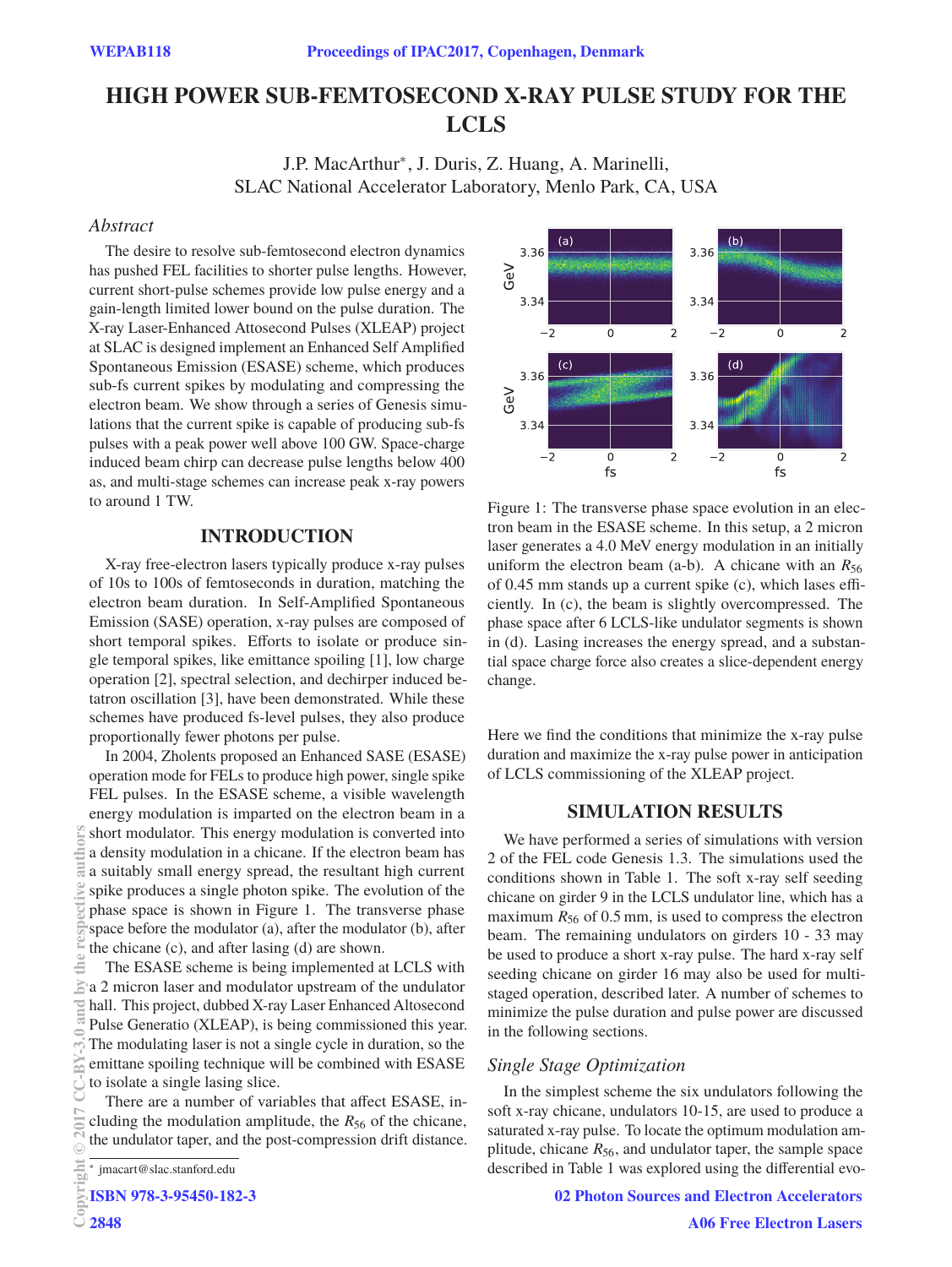# **HIGH POWER SUB-FEMTOSECOND X-RAY PULSE STUDY FOR THE LCLS**

J.P. MacArthur∗, J. Duris, Z. Huang, A. Marinelli, SLAC National Accelerator Laboratory, Menlo Park, CA, USA

# **Abstract**

The desire to resolve sub-femtosecond electron dynamics has pushed FEL facilities to shorter pulse lengths. However, current short-pulse schemes provide low pulse energy and a gain-length limited lower bound on the pulse duration. The X-ray Laser-Enhanced Attosecond Pulses (XLEAP) project at SLAC is designed implement an Enhanced Self Amplified Spontaneous Emission (ESASE) scheme, which produces sub-fs current spikes by modulating and compressing the electron beam. We show through a series of Genesis simulations that the current spike is capable of producing sub-fs pulses with a peak power well above 100 GW. Space-charge induced beam chirp can decrease pulse lengths below 400 as, and multi-stage schemes can increase peak x-ray powers to around 1 TW.

### **INTRODUCTION**

X-ray free-electron lasers typically produce x-ray pulses of 10s to 100s of femtoseconds in duration, matching the electron beam duration. In Self-Amplified Spontaneous Emission (SASE) operation, x-ray pulses are composed of short temporal spikes. Efforts to isolate or produce single temporal spikes, like emittance spoiling [1], low charge operation [2], spectral selection, and dechirper induced betatron oscillation [3], have been demonstrated. While these schemes have produced fs-level pulses, they also produce proportionally fewer photons per pulse.

In 2004, Zholents proposed an Enhanced SASE (ESASE) operation mode for FELs to produce high power, single spike FEL pulses. In the ESASE scheme, a visible wavelength energy modulation is imparted on the electron beam in a short modulator. This energy modulation is converted into a density modulation in a chicane. If the electron beam has a suitably small energy spread, the resultant high current spike produces a single photon spike. The evolution of the phase space is shown in Figure 1. The transverse phase space before the modulator (a), after the modulator (b), after the chicane (c), and after lasing (d) are shown.

The ESASE scheme is being implemented at LCLS with  $\ge a$  2 micron laser and modulator upstream of the undulator hall. This project, dubbed X-ray Laser Enhanced Altosecond Pulse Generatio (XLEAP), is being commissioned this year. The modulating laser is not a single cycle in duration, so the emittane spoiling technique will be combined with ESASE to isolate a single lasing slice.

There are a number of variables that affect ESASE, including the modulation amplitude, the *R*<sup>56</sup> of the chicane, the undulator taper, and the post-compression drift distance.



Figure 1: The transverse phase space evolution in an electron beam in the ESASE scheme. In this setup, a 2 micron laser generates a 4.0 MeV energy modulation in an initially uniform the electron beam (a-b). A chicane with an  $R_{56}$ of 0.45 mm stands up a current spike (c), which lases efficiently. In (c), the beam is slightly overcompressed. The phase space after 6 LCLS-like undulator segments is shown in (d). Lasing increases the energy spread, and a substantial space charge force also creates a slice-dependent energy change.

Here we find the conditions that minimize the x-ray pulse duration and maximize the x-ray pulse power in anticipation of LCLS commissioning of the XLEAP project.

# **SIMULATION RESULTS**

We have performed a series of simulations with version 2 of the FEL code Genesis 1.3. The simulations used the conditions shown in Table 1. The soft x-ray self seeding chicane on girder 9 in the LCLS undulator line, which has a maximum  $R_{56}$  of 0.5 mm, is used to compress the electron beam. The remaining undulators on girders 10 - 33 may be used to produce a short x-ray pulse. The hard x-ray self seeding chicane on girder 16 may also be used for multistaged operation, described later. A number of schemes to minimize the pulse duration and pulse power are discussed in the following sections.

In the simplest scheme the six undulators following the soft x-ray chicane, undulators 10-15, are used to produce a saturated x-ray pulse. To locate the optimum modulation amplitude, chicane *R*56, and undulator taper, the sample space described in Table 1 was explored using the differential evo-

**Copyright 2848**

<sup>∗</sup> jmacart@slac.stanford.edu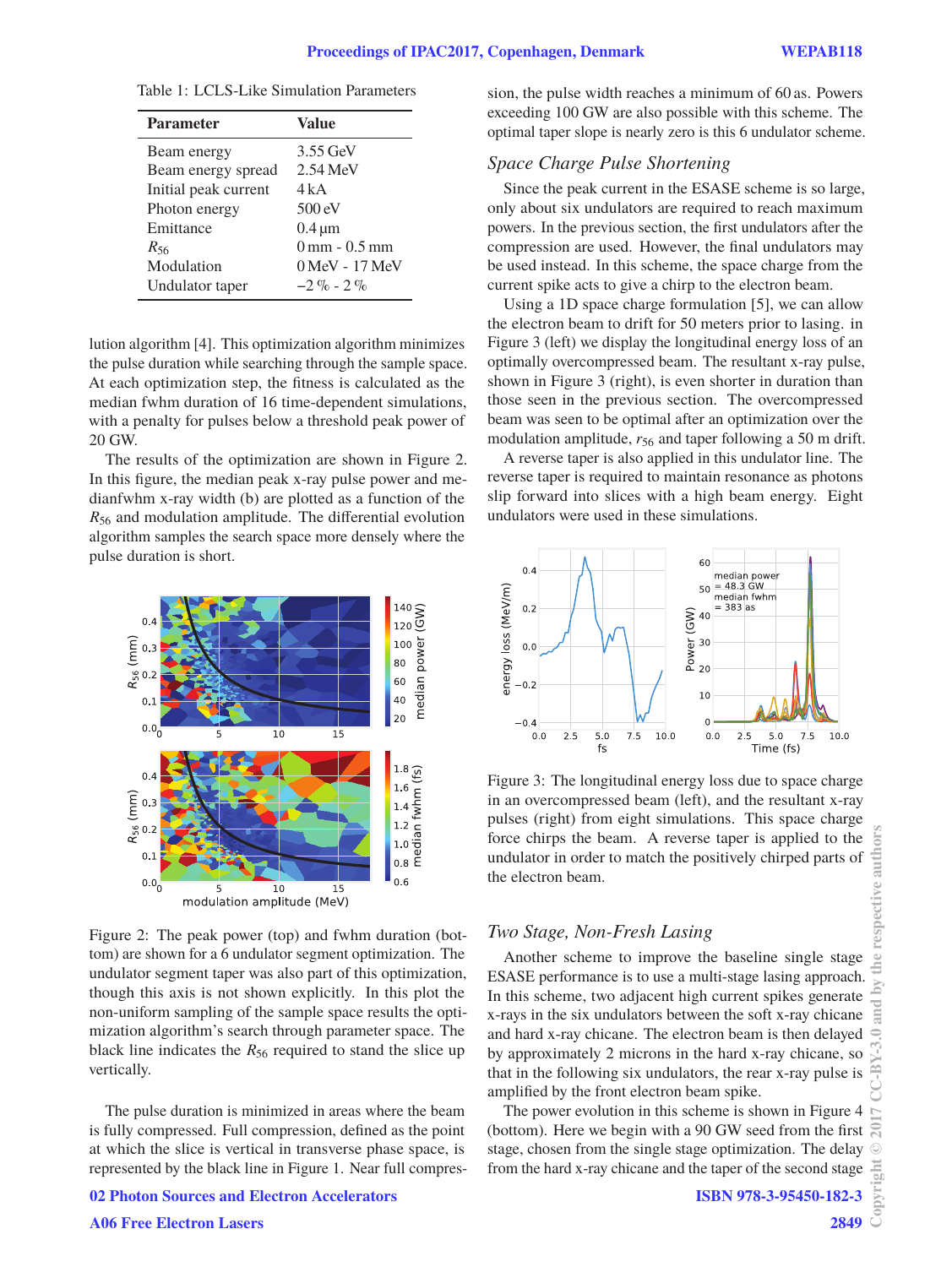| 3.55 GeV                                |
|-----------------------------------------|
|                                         |
| $2.54 \,\mathrm{MeV}$                   |
| 4 k A                                   |
| $500 \text{ eV}$                        |
| $0.4 \,\mathrm{\mu m}$                  |
| $0 \,\mathrm{mm}$ - $0.5 \,\mathrm{mm}$ |
| 0 MeV - 17 MeV                          |
| $-2.9$ $-2.9$                           |
|                                         |

Table  $1:$  LCLS-Like Simulation Parameters

lution algorithm [4]. This optimization algorithm minimizes the pulse duration while searching through the sample space. At each optimization step, the fitness is calculated as the median fwhm duration of 16 time-dependent simulations, with a penalty for pulses below a threshold peak power of 20 GW.

The results of the optimization are shown in Figure 2. In this figure, the median peak x-ray pulse power and medianfwhm x-ray width (b) are plotted as a function of the *R*<sup>56</sup> and modulation amplitude. The differential evolution algorithm samples the search space more densely where the pulse duration is short.



Figure 2: The peak power (top) and fwhm duration (bottom) are shown for a 6 undulator segment optimization. The undulator segment taper was also part of this optimization, though this axis is not shown explicitly. In this plot the non-uniform sampling of the sample space results the optimization algorithm's search through parameter space. The black line indicates the  $R_{56}$  required to stand the slice up vertically.

The pulse duration is minimized in areas where the beam is fully compressed. Full compression, defined as the point at which the slice is vertical in transverse phase space, is represented by the black line in Figure 1. Near full compres-

**02 Photon Sources and Electron Accelerators**

sion, the pulse width reaches a minimum of 60 as. Powers exceeding 100 GW are also possible with this scheme. The optimal taper slope is nearly zero is this 6 undulator scheme.

<sup>2</sup><br>Since the peak current in the ESASE scheme is so large, only about six undulators are required to reach maximum powers. In the previous section, the first undulators after the compression are used. However, the final undulators may be used instead. In this scheme, the space charge from the current spike acts to give a chirp to the electron beam.

Using a 1D space charge formulation [5], we can allow the electron beam to drift for 50 meters prior to lasing. in Figure 3 (left) we display the longitudinal energy loss of an optimally overcompressed beam. The resultant x-ray pulse, shown in Figure 3 (right), is even shorter in duration than those seen in the previous section. The overcompressed beam was seen to be optimal after an optimization over the modulation amplitude,  $r_{56}$  and taper following a 50 m drift.

A reverse taper is also applied in this undulator line. The reverse taper is required to maintain resonance as photons slip forward into slices with a high beam energy. Eight undulators were used in these simulations.



Figure 3: The longitudinal energy loss due to space charge in an overcompressed beam (left), and the resultant x-ray pulses (right) from eight simulations. This space charge force chirps the beam. A reverse taper is applied to the undulator in order to match the positively chirped parts of the electron beam.

Another scheme to improve the baseline single stage ESASE performance is to use a multi-stage lasing approach. In this scheme, two adjacent high current spikes generate x-rays in the six undulators between the soft x-ray chicane and hard x-ray chicane. The electron beam is then delayed by approximately 2 microns in the hard x-ray chicane, so that in the following six undulators, the rear x-ray pulse is amplified by the front electron beam spike.

The power evolution in this scheme is shown in Figure 4 (bottom). Here we begin with a 90 GW seed from the first stage, chosen from the single stage optimization. The delay from the hard x-ray chicane and the taper of the second stage